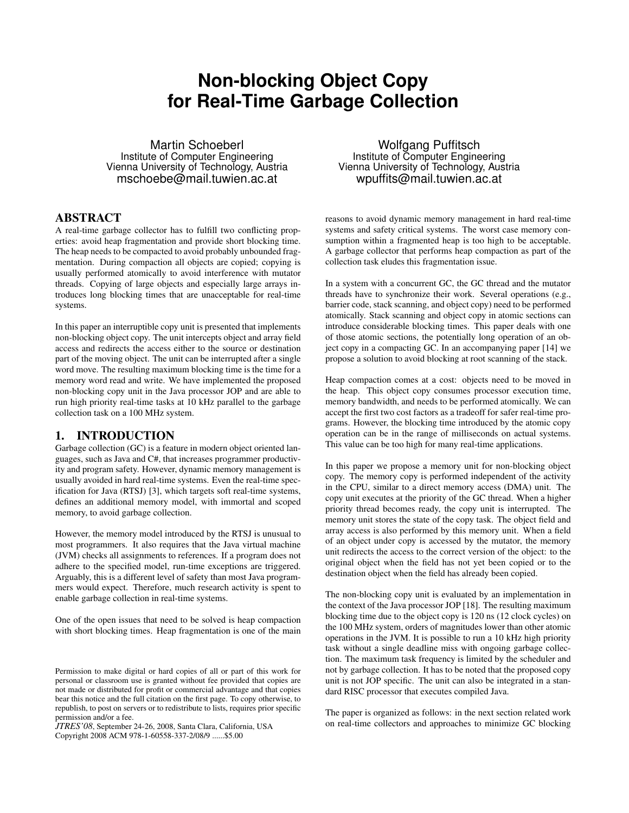# **Non-blocking Object Copy for Real-Time Garbage Collection**

Martin Schoeberl Institute of Computer Engineering Vienna University of Technology, Austria mschoebe@mail.tuwien.ac.at

## ABSTRACT

A real-time garbage collector has to fulfill two conflicting properties: avoid heap fragmentation and provide short blocking time. The heap needs to be compacted to avoid probably unbounded fragmentation. During compaction all objects are copied; copying is usually performed atomically to avoid interference with mutator threads. Copying of large objects and especially large arrays introduces long blocking times that are unacceptable for real-time systems.

In this paper an interruptible copy unit is presented that implements non-blocking object copy. The unit intercepts object and array field access and redirects the access either to the source or destination part of the moving object. The unit can be interrupted after a single word move. The resulting maximum blocking time is the time for a memory word read and write. We have implemented the proposed non-blocking copy unit in the Java processor JOP and are able to run high priority real-time tasks at 10 kHz parallel to the garbage collection task on a 100 MHz system.

## 1. INTRODUCTION

Garbage collection (GC) is a feature in modern object oriented languages, such as Java and C#, that increases programmer productivity and program safety. However, dynamic memory management is usually avoided in hard real-time systems. Even the real-time specification for Java (RTSJ) [3], which targets soft real-time systems, defines an additional memory model, with immortal and scoped memory, to avoid garbage collection.

However, the memory model introduced by the RTSJ is unusual to most programmers. It also requires that the Java virtual machine (JVM) checks all assignments to references. If a program does not adhere to the specified model, run-time exceptions are triggered. Arguably, this is a different level of safety than most Java programmers would expect. Therefore, much research activity is spent to enable garbage collection in real-time systems.

One of the open issues that need to be solved is heap compaction with short blocking times. Heap fragmentation is one of the main

*JTRES'08*, September 24-26, 2008, Santa Clara, California, USA Copyright 2008 ACM 978-1-60558-337-2/08/9 ......\$5.00

Wolfgang Puffitsch Institute of Computer Engineering Vienna University of Technology, Austria wpuffits@mail.tuwien.ac.at

reasons to avoid dynamic memory management in hard real-time systems and safety critical systems. The worst case memory consumption within a fragmented heap is too high to be acceptable. A garbage collector that performs heap compaction as part of the collection task eludes this fragmentation issue.

In a system with a concurrent GC, the GC thread and the mutator threads have to synchronize their work. Several operations (e.g., barrier code, stack scanning, and object copy) need to be performed atomically. Stack scanning and object copy in atomic sections can introduce considerable blocking times. This paper deals with one of those atomic sections, the potentially long operation of an object copy in a compacting GC. In an accompanying paper [14] we propose a solution to avoid blocking at root scanning of the stack.

Heap compaction comes at a cost: objects need to be moved in the heap. This object copy consumes processor execution time, memory bandwidth, and needs to be performed atomically. We can accept the first two cost factors as a tradeoff for safer real-time programs. However, the blocking time introduced by the atomic copy operation can be in the range of milliseconds on actual systems. This value can be too high for many real-time applications.

In this paper we propose a memory unit for non-blocking object copy. The memory copy is performed independent of the activity in the CPU, similar to a direct memory access (DMA) unit. The copy unit executes at the priority of the GC thread. When a higher priority thread becomes ready, the copy unit is interrupted. The memory unit stores the state of the copy task. The object field and array access is also performed by this memory unit. When a field of an object under copy is accessed by the mutator, the memory unit redirects the access to the correct version of the object: to the original object when the field has not yet been copied or to the destination object when the field has already been copied.

The non-blocking copy unit is evaluated by an implementation in the context of the Java processor JOP [18]. The resulting maximum blocking time due to the object copy is 120 ns (12 clock cycles) on the 100 MHz system, orders of magnitudes lower than other atomic operations in the JVM. It is possible to run a 10 kHz high priority task without a single deadline miss with ongoing garbage collection. The maximum task frequency is limited by the scheduler and not by garbage collection. It has to be noted that the proposed copy unit is not JOP specific. The unit can also be integrated in a standard RISC processor that executes compiled Java.

The paper is organized as follows: in the next section related work on real-time collectors and approaches to minimize GC blocking

Permission to make digital or hard copies of all or part of this work for personal or classroom use is granted without fee provided that copies are not made or distributed for profit or commercial advantage and that copies bear this notice and the full citation on the first page. To copy otherwise, to republish, to post on servers or to redistribute to lists, requires prior specific permission and/or a fee.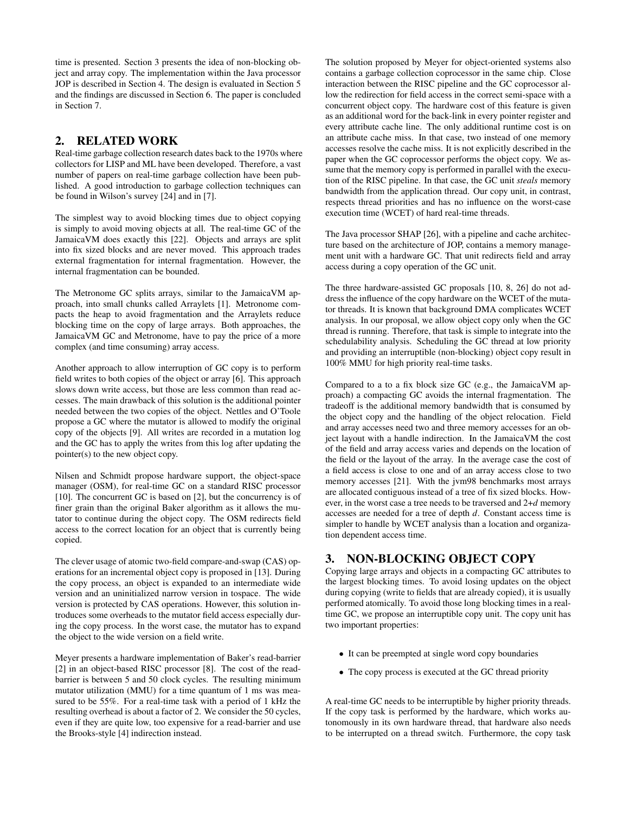time is presented. Section 3 presents the idea of non-blocking object and array copy. The implementation within the Java processor JOP is described in Section 4. The design is evaluated in Section 5 and the findings are discussed in Section 6. The paper is concluded in Section 7.

## 2. RELATED WORK

Real-time garbage collection research dates back to the 1970s where collectors for LISP and ML have been developed. Therefore, a vast number of papers on real-time garbage collection have been published. A good introduction to garbage collection techniques can be found in Wilson's survey [24] and in [7].

The simplest way to avoid blocking times due to object copying is simply to avoid moving objects at all. The real-time GC of the JamaicaVM does exactly this [22]. Objects and arrays are split into fix sized blocks and are never moved. This approach trades external fragmentation for internal fragmentation. However, the internal fragmentation can be bounded.

The Metronome GC splits arrays, similar to the JamaicaVM approach, into small chunks called Arraylets [1]. Metronome compacts the heap to avoid fragmentation and the Arraylets reduce blocking time on the copy of large arrays. Both approaches, the JamaicaVM GC and Metronome, have to pay the price of a more complex (and time consuming) array access.

Another approach to allow interruption of GC copy is to perform field writes to both copies of the object or array [6]. This approach slows down write access, but those are less common than read accesses. The main drawback of this solution is the additional pointer needed between the two copies of the object. Nettles and O'Toole propose a GC where the mutator is allowed to modify the original copy of the objects [9]. All writes are recorded in a mutation log and the GC has to apply the writes from this log after updating the pointer(s) to the new object copy.

Nilsen and Schmidt propose hardware support, the object-space manager (OSM), for real-time GC on a standard RISC processor [10]. The concurrent GC is based on [2], but the concurrency is of finer grain than the original Baker algorithm as it allows the mutator to continue during the object copy. The OSM redirects field access to the correct location for an object that is currently being copied.

The clever usage of atomic two-field compare-and-swap (CAS) operations for an incremental object copy is proposed in [13]. During the copy process, an object is expanded to an intermediate wide version and an uninitialized narrow version in tospace. The wide version is protected by CAS operations. However, this solution introduces some overheads to the mutator field access especially during the copy process. In the worst case, the mutator has to expand the object to the wide version on a field write.

Meyer presents a hardware implementation of Baker's read-barrier [2] in an object-based RISC processor [8]. The cost of the readbarrier is between 5 and 50 clock cycles. The resulting minimum mutator utilization (MMU) for a time quantum of 1 ms was measured to be 55%. For a real-time task with a period of 1 kHz the resulting overhead is about a factor of 2. We consider the 50 cycles, even if they are quite low, too expensive for a read-barrier and use the Brooks-style [4] indirection instead.

The solution proposed by Meyer for object-oriented systems also contains a garbage collection coprocessor in the same chip. Close interaction between the RISC pipeline and the GC coprocessor allow the redirection for field access in the correct semi-space with a concurrent object copy. The hardware cost of this feature is given as an additional word for the back-link in every pointer register and every attribute cache line. The only additional runtime cost is on an attribute cache miss. In that case, two instead of one memory accesses resolve the cache miss. It is not explicitly described in the paper when the GC coprocessor performs the object copy. We assume that the memory copy is performed in parallel with the execution of the RISC pipeline. In that case, the GC unit *steals* memory bandwidth from the application thread. Our copy unit, in contrast, respects thread priorities and has no influence on the worst-case execution time (WCET) of hard real-time threads.

The Java processor SHAP [26], with a pipeline and cache architecture based on the architecture of JOP, contains a memory management unit with a hardware GC. That unit redirects field and array access during a copy operation of the GC unit.

The three hardware-assisted GC proposals [10, 8, 26] do not address the influence of the copy hardware on the WCET of the mutator threads. It is known that background DMA complicates WCET analysis. In our proposal, we allow object copy only when the GC thread is running. Therefore, that task is simple to integrate into the schedulability analysis. Scheduling the GC thread at low priority and providing an interruptible (non-blocking) object copy result in 100% MMU for high priority real-time tasks.

Compared to a to a fix block size GC (e.g., the JamaicaVM approach) a compacting GC avoids the internal fragmentation. The tradeoff is the additional memory bandwidth that is consumed by the object copy and the handling of the object relocation. Field and array accesses need two and three memory accesses for an object layout with a handle indirection. In the JamaicaVM the cost of the field and array access varies and depends on the location of the field or the layout of the array. In the average case the cost of a field access is close to one and of an array access close to two memory accesses [21]. With the jvm98 benchmarks most arrays are allocated contiguous instead of a tree of fix sized blocks. However, in the worst case a tree needs to be traversed and 2+*d* memory accesses are needed for a tree of depth *d*. Constant access time is simpler to handle by WCET analysis than a location and organization dependent access time.

## 3. NON-BLOCKING OBJECT COPY

Copying large arrays and objects in a compacting GC attributes to the largest blocking times. To avoid losing updates on the object during copying (write to fields that are already copied), it is usually performed atomically. To avoid those long blocking times in a realtime GC, we propose an interruptible copy unit. The copy unit has two important properties:

- It can be preempted at single word copy boundaries
- The copy process is executed at the GC thread priority

A real-time GC needs to be interruptible by higher priority threads. If the copy task is performed by the hardware, which works autonomously in its own hardware thread, that hardware also needs to be interrupted on a thread switch. Furthermore, the copy task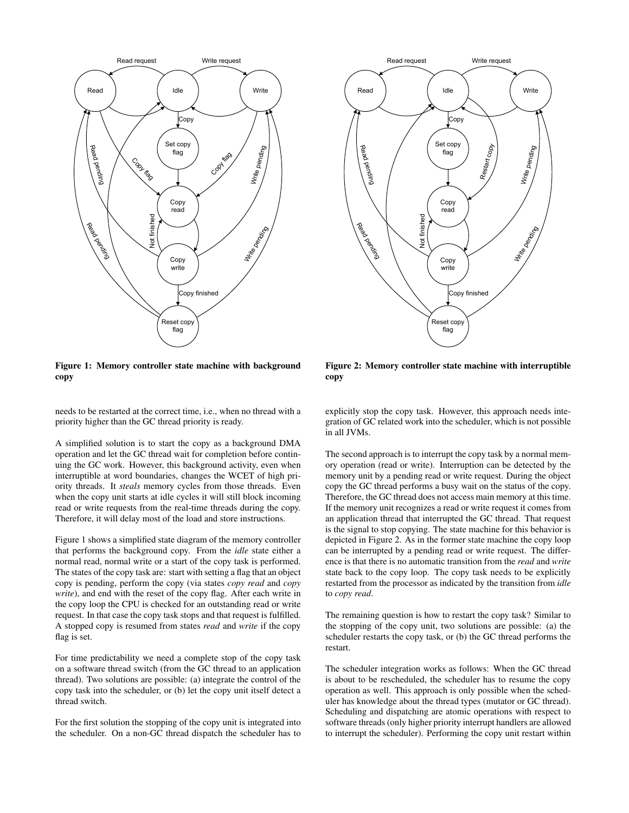

Figure 1: Memory controller state machine with background copy

needs to be restarted at the correct time, i.e., when no thread with a priority higher than the GC thread priority is ready.

A simplified solution is to start the copy as a background DMA operation and let the GC thread wait for completion before continuing the GC work. However, this background activity, even when interruptible at word boundaries, changes the WCET of high priority threads. It *steals* memory cycles from those threads. Even when the copy unit starts at idle cycles it will still block incoming read or write requests from the real-time threads during the copy. Therefore, it will delay most of the load and store instructions.

Figure 1 shows a simplified state diagram of the memory controller that performs the background copy. From the *idle* state either a normal read, normal write or a start of the copy task is performed. The states of the copy task are: start with setting a flag that an object copy is pending, perform the copy (via states *copy read* and *copy write*), and end with the reset of the copy flag. After each write in the copy loop the CPU is checked for an outstanding read or write request. In that case the copy task stops and that request is fulfilled. A stopped copy is resumed from states *read* and *write* if the copy flag is set.

For time predictability we need a complete stop of the copy task on a software thread switch (from the GC thread to an application thread). Two solutions are possible: (a) integrate the control of the copy task into the scheduler, or (b) let the copy unit itself detect a thread switch.

For the first solution the stopping of the copy unit is integrated into the scheduler. On a non-GC thread dispatch the scheduler has to



Figure 2: Memory controller state machine with interruptible copy

explicitly stop the copy task. However, this approach needs integration of GC related work into the scheduler, which is not possible in all JVMs.

The second approach is to interrupt the copy task by a normal memory operation (read or write). Interruption can be detected by the memory unit by a pending read or write request. During the object copy the GC thread performs a busy wait on the status of the copy. Therefore, the GC thread does not access main memory at this time. If the memory unit recognizes a read or write request it comes from an application thread that interrupted the GC thread. That request is the signal to stop copying. The state machine for this behavior is depicted in Figure 2. As in the former state machine the copy loop can be interrupted by a pending read or write request. The difference is that there is no automatic transition from the *read* and *write* state back to the copy loop. The copy task needs to be explicitly restarted from the processor as indicated by the transition from *idle* to *copy read*.

The remaining question is how to restart the copy task? Similar to the stopping of the copy unit, two solutions are possible: (a) the scheduler restarts the copy task, or (b) the GC thread performs the restart.

The scheduler integration works as follows: When the GC thread is about to be rescheduled, the scheduler has to resume the copy operation as well. This approach is only possible when the scheduler has knowledge about the thread types (mutator or GC thread). Scheduling and dispatching are atomic operations with respect to software threads (only higher priority interrupt handlers are allowed to interrupt the scheduler). Performing the copy unit restart within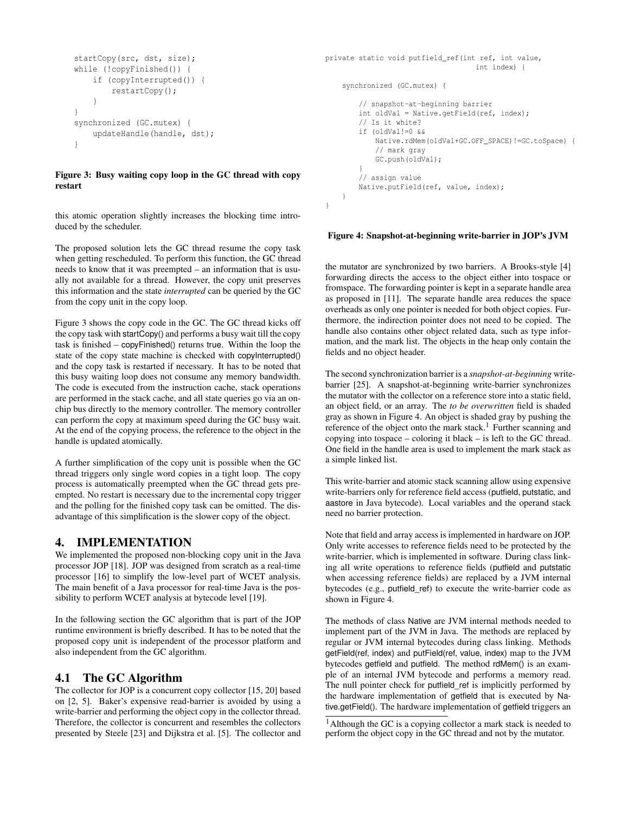```
startCopy(src, dst, size);
while (!copyFinished()) {
    if (copyInterrupted()) {
        restartCopy();
    }
}
synchronized (GC.mutex) {
    updateHandle(handle, dst);
}
```
#### Figure 3: Busy waiting copy loop in the GC thread with copy restart

this atomic operation slightly increases the blocking time introduced by the scheduler.

The proposed solution lets the GC thread resume the copy task when getting rescheduled. To perform this function, the GC thread needs to know that it was preempted – an information that is usually not available for a thread. However, the copy unit preserves this information and the state *interrupted* can be queried by the GC from the copy unit in the copy loop.

Figure 3 shows the copy code in the GC. The GC thread kicks off the copy task with startCopy() and performs a busy wait till the copy task is finished – copyFinished() returns true. Within the loop the state of the copy state machine is checked with copyInterrupted() and the copy task is restarted if necessary. It has to be noted that this busy waiting loop does not consume any memory bandwidth. The code is executed from the instruction cache, stack operations are performed in the stack cache, and all state queries go via an onchip bus directly to the memory controller. The memory controller can perform the copy at maximum speed during the GC busy wait. At the end of the copying process, the reference to the object in the handle is updated atomically.

A further simplification of the copy unit is possible when the GC thread triggers only single word copies in a tight loop. The copy process is automatically preempted when the GC thread gets preempted. No restart is necessary due to the incremental copy trigger and the polling for the finished copy task can be omitted. The disadvantage of this simplification is the slower copy of the object.

## 4. IMPLEMENTATION

We implemented the proposed non-blocking copy unit in the Java processor JOP [18]. JOP was designed from scratch as a real-time processor [16] to simplify the low-level part of WCET analysis. The main benefit of a Java processor for real-time Java is the possibility to perform WCET analysis at bytecode level [19].

In the following section the GC algorithm that is part of the JOP runtime environment is briefly described. It has to be noted that the proposed copy unit is independent of the processor platform and also independent from the GC algorithm.

## 4.1 The GC Algorithm

The collector for JOP is a concurrent copy collector [15, 20] based on [2, 5]. Baker's expensive read-barrier is avoided by using a write-barrier and performing the object copy in the collector thread. Therefore, the collector is concurrent and resembles the collectors presented by Steele [23] and Dijkstra et al. [5]. The collector and

```
private static void putfield_ref(int ref, int value,
                                     int index) {
    synchronized (GC.mutex) {
        // snapshot-at-beginning barrier
        int oldVal = Native.getField(ref, index);
        // Is it white?
        if (oldVal!=0 &&
            Native.rdMem(oldVal+GC.OFF_SPACE)!=GC.toSpace) {
            // mark gray
            GC.push(oldVal);
        }
        // assign value
        Native.putField(ref, value, index);
    }
}
```
#### Figure 4: Snapshot-at-beginning write-barrier in JOP's JVM

the mutator are synchronized by two barriers. A Brooks-style [4] forwarding directs the access to the object either into tospace or fromspace. The forwarding pointer is kept in a separate handle area as proposed in [11]. The separate handle area reduces the space overheads as only one pointer is needed for both object copies. Furthermore, the indirection pointer does not need to be copied. The handle also contains other object related data, such as type information, and the mark list. The objects in the heap only contain the fields and no object header.

The second synchronization barrier is a *snapshot-at-beginning* writebarrier [25]. A snapshot-at-beginning write-barrier synchronizes the mutator with the collector on a reference store into a static field, an object field, or an array. The *to be overwritten* field is shaded gray as shown in Figure 4. An object is shaded gray by pushing the reference of the object onto the mark stack.<sup>1</sup> Further scanning and copying into tospace – coloring it black – is left to the GC thread. One field in the handle area is used to implement the mark stack as a simple linked list.

This write-barrier and atomic stack scanning allow using expensive write-barriers only for reference field access (putfield, putstatic, and aastore in Java bytecode). Local variables and the operand stack need no barrier protection.

Note that field and array access is implemented in hardware on JOP. Only write accesses to reference fields need to be protected by the write-barrier, which is implemented in software. During class linking all write operations to reference fields (putfield and putstatic when accessing reference fields) are replaced by a JVM internal bytecodes (e.g., putfield\_ref) to execute the write-barrier code as shown in Figure 4.

The methods of class Native are JVM internal methods needed to implement part of the JVM in Java. The methods are replaced by regular or JVM internal bytecodes during class linking. Methods getField(ref, index) and putField(ref, value, index) map to the JVM bytecodes getfield and putfield. The method rdMem() is an example of an internal JVM bytecode and performs a memory read. The null pointer check for putfield ref is implicitly performed by the hardware implementation of getfield that is executed by Native.getField(). The hardware implementation of getfield triggers an

<sup>&</sup>lt;sup>1</sup>Although the GC is a copying collector a mark stack is needed to perform the object copy in the GC thread and not by the mutator.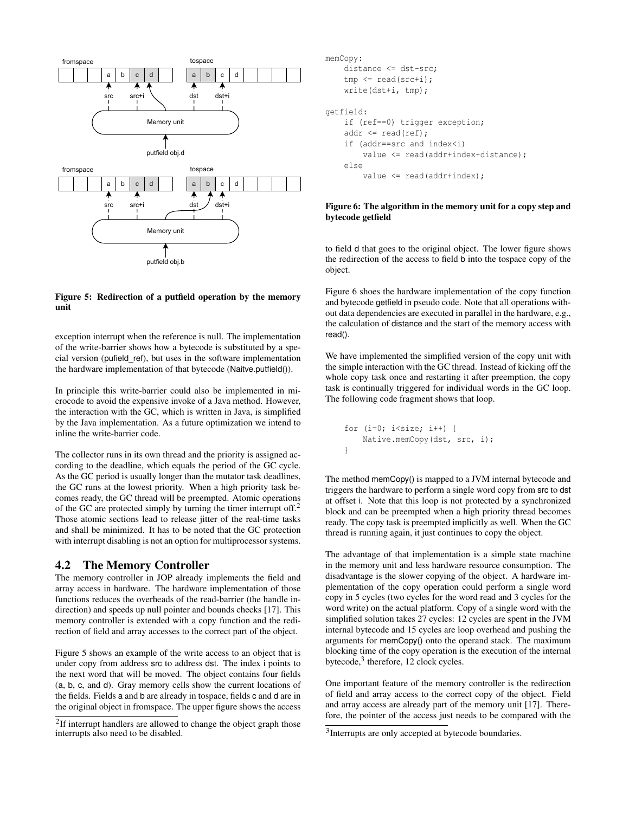

Figure 5: Redirection of a putfield operation by the memory unit

exception interrupt when the reference is null. The implementation of the write-barrier shows how a bytecode is substituted by a special version (pufield\_ref), but uses in the software implementation the hardware implementation of that bytecode (Naitve.putfield()).

In principle this write-barrier could also be implemented in microcode to avoid the expensive invoke of a Java method. However, the interaction with the GC, which is written in Java, is simplified by the Java implementation. As a future optimization we intend to inline the write-barrier code.

The collector runs in its own thread and the priority is assigned according to the deadline, which equals the period of the GC cycle. As the GC period is usually longer than the mutator task deadlines, the GC runs at the lowest priority. When a high priority task becomes ready, the GC thread will be preempted. Atomic operations of the GC are protected simply by turning the timer interrupt off.<sup>2</sup> Those atomic sections lead to release jitter of the real-time tasks and shall be minimized. It has to be noted that the GC protection with interrupt disabling is not an option for multiprocessor systems.

## 4.2 The Memory Controller

The memory controller in JOP already implements the field and array access in hardware. The hardware implementation of those functions reduces the overheads of the read-barrier (the handle indirection) and speeds up null pointer and bounds checks [17]. This memory controller is extended with a copy function and the redirection of field and array accesses to the correct part of the object.

Figure 5 shows an example of the write access to an object that is under copy from address src to address dst. The index i points to the next word that will be moved. The object contains four fields (a, b, c, and d). Gray memory cells show the current locations of the fields. Fields a and b are already in tospace, fields c and d are in the original object in fromspace. The upper figure shows the access

```
memCopy:
    distance <= dst-src;
    tmp <= read(src+i);
    write(dst+i, tmp);
getfield:
    if (ref==0) trigger exception;
    addr <= read(ref);
    if (addr==src and index<i)
        value <= read(addr+index+distance);
    else
        value <= read(addr+index);
```
#### Figure 6: The algorithm in the memory unit for a copy step and bytecode getfield

to field d that goes to the original object. The lower figure shows the redirection of the access to field b into the tospace copy of the object.

Figure 6 shoes the hardware implementation of the copy function and bytecode getfield in pseudo code. Note that all operations without data dependencies are executed in parallel in the hardware, e.g., the calculation of distance and the start of the memory access with read().

We have implemented the simplified version of the copy unit with the simple interaction with the GC thread. Instead of kicking off the whole copy task once and restarting it after preemption, the copy task is continually triggered for individual words in the GC loop. The following code fragment shows that loop.

```
for (i=0; i < size; i++) {
    Native.memCopy(dst, src, i);
}
```
The method memCopy() is mapped to a JVM internal bytecode and triggers the hardware to perform a single word copy from src to dst at offset i. Note that this loop is not protected by a synchronized block and can be preempted when a high priority thread becomes ready. The copy task is preempted implicitly as well. When the GC thread is running again, it just continues to copy the object.

The advantage of that implementation is a simple state machine in the memory unit and less hardware resource consumption. The disadvantage is the slower copying of the object. A hardware implementation of the copy operation could perform a single word copy in 5 cycles (two cycles for the word read and 3 cycles for the word write) on the actual platform. Copy of a single word with the simplified solution takes 27 cycles: 12 cycles are spent in the JVM internal bytecode and 15 cycles are loop overhead and pushing the arguments for memCopy() onto the operand stack. The maximum blocking time of the copy operation is the execution of the internal bytecode,<sup>3</sup> therefore, 12 clock cycles.

One important feature of the memory controller is the redirection of field and array access to the correct copy of the object. Field and array access are already part of the memory unit [17]. Therefore, the pointer of the access just needs to be compared with the

 $2$ If interrupt handlers are allowed to change the object graph those interrupts also need to be disabled.

<sup>&</sup>lt;sup>3</sup>Interrupts are only accepted at bytecode boundaries.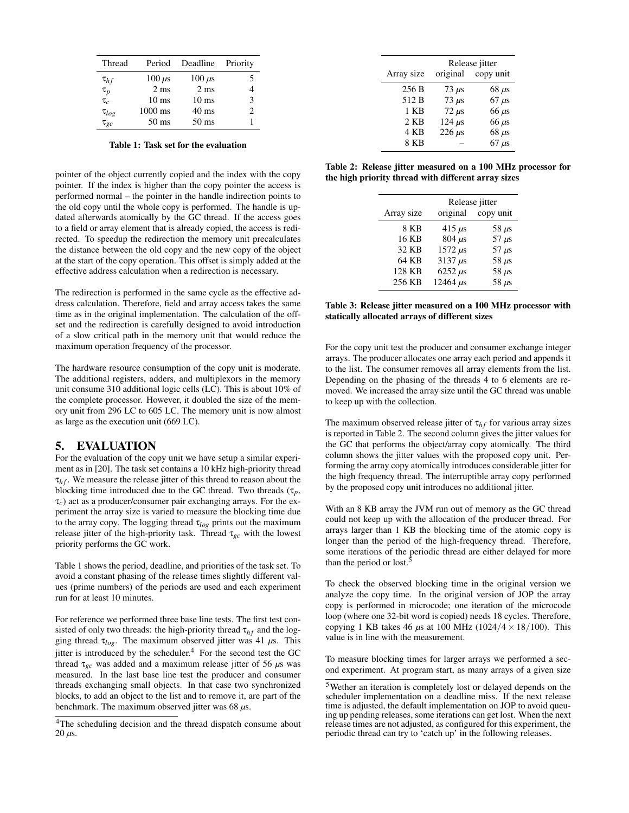| Thread       | Period          | Deadline        | Priority                    |
|--------------|-----------------|-----------------|-----------------------------|
| $\tau_{hf}$  | $100 \mu s$     | $100 \mu s$     | ∍                           |
| $\tau_p$     | $2 \text{ ms}$  | 2 <sub>ms</sub> |                             |
| $\tau_c$     | $10 \text{ ms}$ | $10 \text{ ms}$ | 3                           |
| $\tau_{log}$ | $1000$ ms       | $40 \text{ ms}$ | $\mathcal{D}_{\mathcal{A}}$ |
| $\tau_{gc}$  | $50 \text{ ms}$ | $50 \text{ ms}$ |                             |

Table 1: Task set for the evaluation

pointer of the object currently copied and the index with the copy pointer. If the index is higher than the copy pointer the access is performed normal – the pointer in the handle indirection points to the old copy until the whole copy is performed. The handle is updated afterwards atomically by the GC thread. If the access goes to a field or array element that is already copied, the access is redirected. To speedup the redirection the memory unit precalculates the distance between the old copy and the new copy of the object at the start of the copy operation. This offset is simply added at the effective address calculation when a redirection is necessary.

The redirection is performed in the same cycle as the effective address calculation. Therefore, field and array access takes the same time as in the original implementation. The calculation of the offset and the redirection is carefully designed to avoid introduction of a slow critical path in the memory unit that would reduce the maximum operation frequency of the processor.

The hardware resource consumption of the copy unit is moderate. The additional registers, adders, and multiplexors in the memory unit consume 310 additional logic cells (LC). This is about 10% of the complete processor. However, it doubled the size of the memory unit from 296 LC to 605 LC. The memory unit is now almost as large as the execution unit (669 LC).

### 5. EVALUATION

For the evaluation of the copy unit we have setup a similar experiment as in [20]. The task set contains a 10 kHz high-priority thread  $\tau_{hf}$ . We measure the release jitter of this thread to reason about the blocking time introduced due to the GC thread. Two threads  $(\tau_p,$ τ*c*) act as a producer/consumer pair exchanging arrays. For the experiment the array size is varied to measure the blocking time due to the array copy. The logging thread τ*log* prints out the maximum release jitter of the high-priority task. Thread  $\tau_{gc}$  with the lowest priority performs the GC work.

Table 1 shows the period, deadline, and priorities of the task set. To avoid a constant phasing of the release times slightly different values (prime numbers) of the periods are used and each experiment run for at least 10 minutes.

For reference we performed three base line tests. The first test consisted of only two threads: the high-priority thread  $\tau_{hf}$  and the logging thread τ*log*. The maximum observed jitter was 41 *µ*s. This jitter is introduced by the scheduler.<sup>4</sup> For the second test the GC thread τ*gc* was added and a maximum release jitter of 56 *µ*s was measured. In the last base line test the producer and consumer threads exchanging small objects. In that case two synchronized blocks, to add an object to the list and to remove it, are part of the benchmark. The maximum observed jitter was 68 *µ*s.

|             | Release jitter |                          |  |
|-------------|----------------|--------------------------|--|
| Array size  | original       | copy unit                |  |
| 256 B       | $73 \mu s$     | $68 \mu s$               |  |
| 512 B       | $73 \mu s$     | $67 \text{ }\mu\text{s}$ |  |
| 1 KB        | $72 \mu s$     | $66 \mu s$               |  |
| $2$ KB      | $124 \mu s$    | $66 \mu s$               |  |
| 4 KB        | $226 \mu s$    | $68 \mu s$               |  |
| <b>8 KB</b> |                | $67 \text{ }\mu\text{s}$ |  |

Table 2: Release jitter measured on a 100 MHz processor for the high priority thread with different array sizes

| Array size | original       | Release jitter<br>copy unit |
|------------|----------------|-----------------------------|
| 8 KB       | $415 \mu s$    | $58 \mu s$                  |
| 16 KB      | $804 \mu s$    | $57 \mu s$                  |
| 32 KB      | $1572 \,\mu s$ | $57 \mu s$                  |
| 64 KB      | $3137 \mu s$   | $58 \mu s$                  |
| 128 KB     | $6252 \mu s$   | $58 \mu s$                  |
| 256 KB     | $12464 \mu s$  | $58 \mu s$                  |

Table 3: Release jitter measured on a 100 MHz processor with statically allocated arrays of different sizes

For the copy unit test the producer and consumer exchange integer arrays. The producer allocates one array each period and appends it to the list. The consumer removes all array elements from the list. Depending on the phasing of the threads 4 to 6 elements are removed. We increased the array size until the GC thread was unable to keep up with the collection.

The maximum observed release jitter of  $\tau_{hf}$  for various array sizes is reported in Table 2. The second column gives the jitter values for the GC that performs the object/array copy atomically. The third column shows the jitter values with the proposed copy unit. Performing the array copy atomically introduces considerable jitter for the high frequency thread. The interruptible array copy performed by the proposed copy unit introduces no additional jitter.

With an 8 KB array the JVM run out of memory as the GC thread could not keep up with the allocation of the producer thread. For arrays larger than 1 KB the blocking time of the atomic copy is longer than the period of the high-frequency thread. Therefore, some iterations of the periodic thread are either delayed for more than the period or lost.<sup>5</sup>

To check the observed blocking time in the original version we analyze the copy time. In the original version of JOP the array copy is performed in microcode; one iteration of the microcode loop (where one 32-bit word is copied) needs 18 cycles. Therefore, copying 1 KB takes 46 *µ*s at 100 MHz (1024/4 × 18/100). This value is in line with the measurement.

To measure blocking times for larger arrays we performed a second experiment. At program start, as many arrays of a given size

<sup>4</sup>The scheduling decision and the thread dispatch consume about 20 *µ*s.

<sup>5</sup>Wether an iteration is completely lost or delayed depends on the scheduler implementation on a deadline miss. If the next release time is adjusted, the default implementation on JOP to avoid queuing up pending releases, some iterations can get lost. When the next release times are not adjusted, as configured for this experiment, the periodic thread can try to 'catch up' in the following releases.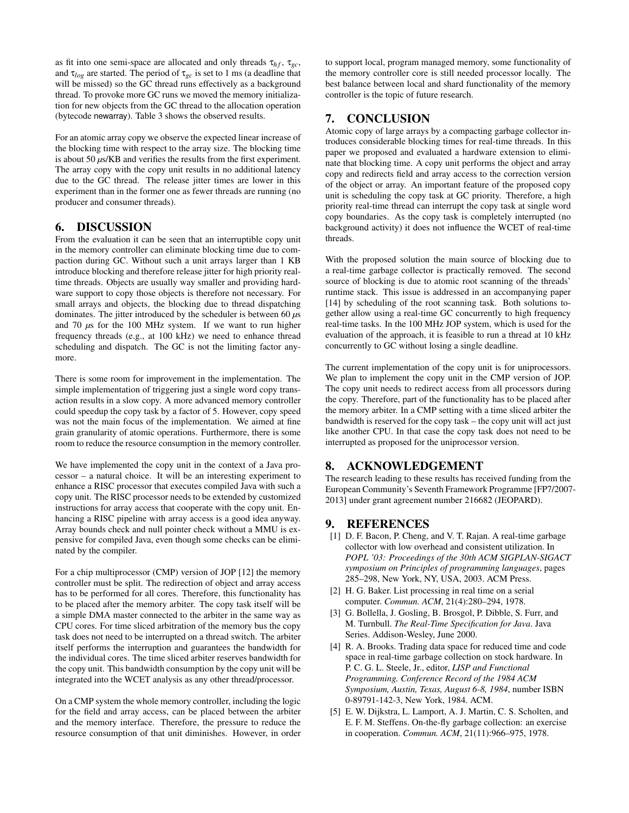as fit into one semi-space are allocated and only threads  $\tau_{hf}$ ,  $\tau_{gc}$ , and  $\tau_{log}$  are started. The period of  $\tau_{gc}$  is set to 1 ms (a deadline that will be missed) so the GC thread runs effectively as a background thread. To provoke more GC runs we moved the memory initialization for new objects from the GC thread to the allocation operation (bytecode newarray). Table 3 shows the observed results.

For an atomic array copy we observe the expected linear increase of the blocking time with respect to the array size. The blocking time is about 50 *µ*s/KB and verifies the results from the first experiment. The array copy with the copy unit results in no additional latency due to the GC thread. The release jitter times are lower in this experiment than in the former one as fewer threads are running (no producer and consumer threads).

## 6. DISCUSSION

From the evaluation it can be seen that an interruptible copy unit in the memory controller can eliminate blocking time due to compaction during GC. Without such a unit arrays larger than 1 KB introduce blocking and therefore release jitter for high priority realtime threads. Objects are usually way smaller and providing hardware support to copy those objects is therefore not necessary. For small arrays and objects, the blocking due to thread dispatching dominates. The jitter introduced by the scheduler is between 60 *µ*s and 70  $\mu$ s for the 100 MHz system. If we want to run higher frequency threads (e.g., at 100 kHz) we need to enhance thread scheduling and dispatch. The GC is not the limiting factor anymore.

There is some room for improvement in the implementation. The simple implementation of triggering just a single word copy transaction results in a slow copy. A more advanced memory controller could speedup the copy task by a factor of 5. However, copy speed was not the main focus of the implementation. We aimed at fine grain granularity of atomic operations. Furthermore, there is some room to reduce the resource consumption in the memory controller.

We have implemented the copy unit in the context of a Java processor – a natural choice. It will be an interesting experiment to enhance a RISC processor that executes compiled Java with such a copy unit. The RISC processor needs to be extended by customized instructions for array access that cooperate with the copy unit. Enhancing a RISC pipeline with array access is a good idea anyway. Array bounds check and null pointer check without a MMU is expensive for compiled Java, even though some checks can be eliminated by the compiler.

For a chip multiprocessor (CMP) version of JOP [12] the memory controller must be split. The redirection of object and array access has to be performed for all cores. Therefore, this functionality has to be placed after the memory arbiter. The copy task itself will be a simple DMA master connected to the arbiter in the same way as CPU cores. For time sliced arbitration of the memory bus the copy task does not need to be interrupted on a thread switch. The arbiter itself performs the interruption and guarantees the bandwidth for the individual cores. The time sliced arbiter reserves bandwidth for the copy unit. This bandwidth consumption by the copy unit will be integrated into the WCET analysis as any other thread/processor.

On a CMP system the whole memory controller, including the logic for the field and array access, can be placed between the arbiter and the memory interface. Therefore, the pressure to reduce the resource consumption of that unit diminishes. However, in order

to support local, program managed memory, some functionality of the memory controller core is still needed processor locally. The best balance between local and shard functionality of the memory controller is the topic of future research.

# 7. CONCLUSION

Atomic copy of large arrays by a compacting garbage collector introduces considerable blocking times for real-time threads. In this paper we proposed and evaluated a hardware extension to eliminate that blocking time. A copy unit performs the object and array copy and redirects field and array access to the correction version of the object or array. An important feature of the proposed copy unit is scheduling the copy task at GC priority. Therefore, a high priority real-time thread can interrupt the copy task at single word copy boundaries. As the copy task is completely interrupted (no background activity) it does not influence the WCET of real-time threads.

With the proposed solution the main source of blocking due to a real-time garbage collector is practically removed. The second source of blocking is due to atomic root scanning of the threads' runtime stack. This issue is addressed in an accompanying paper [14] by scheduling of the root scanning task. Both solutions together allow using a real-time GC concurrently to high frequency real-time tasks. In the 100 MHz JOP system, which is used for the evaluation of the approach, it is feasible to run a thread at 10 kHz concurrently to GC without losing a single deadline.

The current implementation of the copy unit is for uniprocessors. We plan to implement the copy unit in the CMP version of JOP. The copy unit needs to redirect access from all processors during the copy. Therefore, part of the functionality has to be placed after the memory arbiter. In a CMP setting with a time sliced arbiter the bandwidth is reserved for the copy task – the copy unit will act just like another CPU. In that case the copy task does not need to be interrupted as proposed for the uniprocessor version.

## 8. ACKNOWLEDGEMENT

The research leading to these results has received funding from the European Community's Seventh Framework Programme [FP7/2007- 2013] under grant agreement number 216682 (JEOPARD).

## 9. REFERENCES

- [1] D. F. Bacon, P. Cheng, and V. T. Rajan. A real-time garbage collector with low overhead and consistent utilization. In *POPL '03: Proceedings of the 30th ACM SIGPLAN-SIGACT symposium on Principles of programming languages*, pages 285–298, New York, NY, USA, 2003. ACM Press.
- [2] H. G. Baker. List processing in real time on a serial computer. *Commun. ACM*, 21(4):280–294, 1978.
- [3] G. Bollella, J. Gosling, B. Brosgol, P. Dibble, S. Furr, and M. Turnbull. *The Real-Time Specification for Java*. Java Series. Addison-Wesley, June 2000.
- [4] R. A. Brooks. Trading data space for reduced time and code space in real-time garbage collection on stock hardware. In P. C. G. L. Steele, Jr., editor, *LISP and Functional Programming. Conference Record of the 1984 ACM Symposium, Austin, Texas, August 6-8, 1984*, number ISBN 0-89791-142-3, New York, 1984. ACM.
- [5] E. W. Dijkstra, L. Lamport, A. J. Martin, C. S. Scholten, and E. F. M. Steffens. On-the-fly garbage collection: an exercise in cooperation. *Commun. ACM*, 21(11):966–975, 1978.